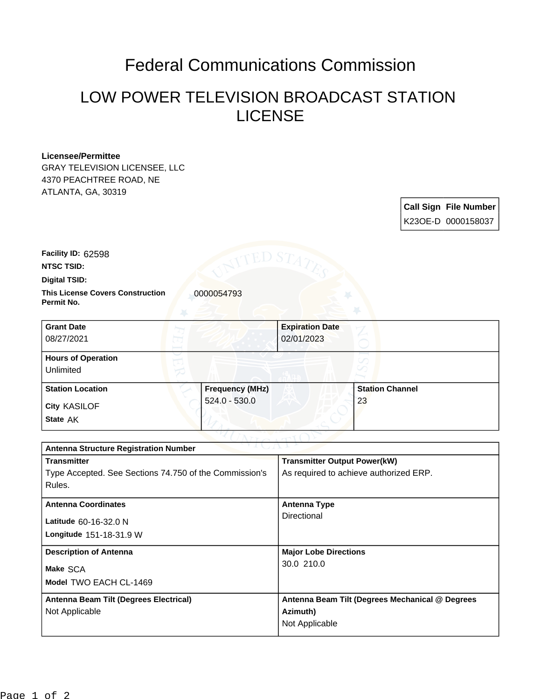## Federal Communications Commission

## LOW POWER TELEVISION BROADCAST STATION LICENSE

## **Licensee/Permittee**

GRAY TELEVISION LICENSEE, LLC 4370 PEACHTREE ROAD, NE ATLANTA, GA, 30319

| <b>Call Sign File Number</b> |
|------------------------------|
| K23OE-D 0000158037           |

**Facility ID:** 62598

**NTSC TSID:**

**Digital TSID:**

**This License Covers Construction**  0000054793 **Permit No.**

| <b>Grant Date</b><br>08/27/2021        | <b>Expiration Date</b><br>02/01/2023 |                        |  |
|----------------------------------------|--------------------------------------|------------------------|--|
| <b>Hours of Operation</b><br>Unlimited |                                      |                        |  |
| <b>Station Location</b>                | <b>Frequency (MHz)</b>               | <b>Station Channel</b> |  |
| <b>City KASILOF</b><br>State AK        | $524.0 - 530.0$                      | 23                     |  |

| つりまし パーレン<br><b>Antenna Structure Registration Number</b> |                                                 |  |  |  |
|-----------------------------------------------------------|-------------------------------------------------|--|--|--|
| <b>Transmitter</b>                                        | <b>Transmitter Output Power(kW)</b>             |  |  |  |
| Type Accepted. See Sections 74.750 of the Commission's    | As required to achieve authorized ERP.          |  |  |  |
| Rules.                                                    |                                                 |  |  |  |
| <b>Antenna Coordinates</b>                                | Antenna Type                                    |  |  |  |
|                                                           | Directional                                     |  |  |  |
| Latitude 60-16-32.0 N                                     |                                                 |  |  |  |
| <b>Longitude 151-18-31.9 W</b>                            |                                                 |  |  |  |
| <b>Description of Antenna</b>                             | <b>Major Lobe Directions</b>                    |  |  |  |
| Make SCA                                                  | 30.0 210.0                                      |  |  |  |
| Model TWO EACH CL-1469                                    |                                                 |  |  |  |
|                                                           |                                                 |  |  |  |
| Antenna Beam Tilt (Degrees Electrical)                    | Antenna Beam Tilt (Degrees Mechanical @ Degrees |  |  |  |
| Not Applicable                                            | Azimuth)                                        |  |  |  |
|                                                           | Not Applicable                                  |  |  |  |
|                                                           |                                                 |  |  |  |